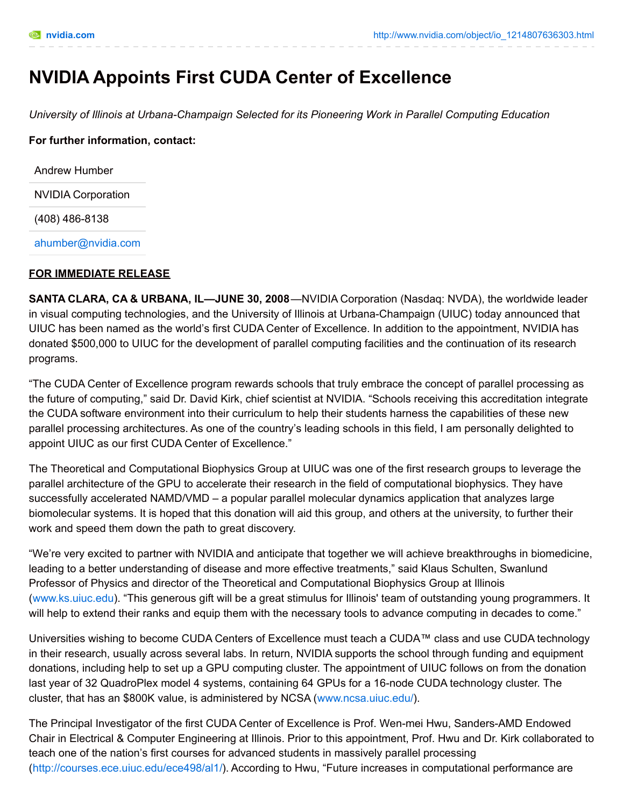# **NVIDIA Appoints First CUDA Center of Excellence**

*University of Illinois at Urbana-Champaign Selected for its Pioneering Work in Parallel Computing Education*

**For further information, contact:**

Andrew Humber NVIDIA Corporation

(408) 486-8138

[ahumber@nvidia.com](mailto:ahumber@nvidia.com)

## **FOR IMMEDIATE RELEASE**

**SANTA CLARA, CA & URBANA, IL—JUNE 30, 2008**—NVIDIA Corporation (Nasdaq: NVDA), the worldwide leader in visual computing technologies, and the University of Illinois at Urbana-Champaign (UIUC) today announced that UIUC has been named as the world's first CUDA Center of Excellence. In addition to the appointment, NVIDIA has donated \$500,000 to UIUC for the development of parallel computing facilities and the continuation of its research programs.

"The CUDA Center of Excellence program rewards schools that truly embrace the concept of parallel processing as the future of computing," said Dr. David Kirk, chief scientist at NVIDIA. "Schools receiving this accreditation integrate the CUDA software environment into their curriculum to help their students harness the capabilities of these new parallel processing architectures. As one of the country's leading schools in this field, I am personally delighted to appoint UIUC as our first CUDA Center of Excellence."

The Theoretical and Computational Biophysics Group at UIUC was one of the first research groups to leverage the parallel architecture of the GPU to accelerate their research in the field of computational biophysics. They have successfully accelerated NAMD/VMD – a popular parallel molecular dynamics application that analyzes large biomolecular systems. It is hoped that this donation will aid this group, and others at the university, to further their work and speed them down the path to great discovery.

"We're very excited to partner with NVIDIA and anticipate that together we will achieve breakthroughs in biomedicine, leading to a better understanding of disease and more effective treatments," said Klaus Schulten, Swanlund Professor of Physics and director of the Theoretical and Computational Biophysics Group at Illinois [\(www.ks.uiuc.edu](http://www.ks.uiuc.edu/)). "This generous gift will be a great stimulus for Illinois' team of outstanding young programmers. It will help to extend their ranks and equip them with the necessary tools to advance computing in decades to come."

Universities wishing to become CUDA Centers of Excellence must teach a CUDA™ class and use CUDA technology in their research, usually across several labs. In return, NVIDIA supports the school through funding and equipment donations, including help to set up a GPU computing cluster. The appointment of UIUC follows on from the donation last year of 32 QuadroPlex model 4 systems, containing 64 GPUs for a 16-node CUDA technology cluster. The cluster, that has an \$800K value, is administered by NCSA [\(www.ncsa.uiuc.edu/](http://www.ncsa.uiuc.edu/)).

The Principal Investigator of the first CUDA Center of Excellence is Prof. Wen-mei Hwu, Sanders-AMD Endowed Chair in Electrical & Computer Engineering at Illinois. Prior to this appointment, Prof. Hwu and Dr. Kirk collaborated to teach one of the nation's first courses for advanced students in massively parallel processing [\(http://courses.ece.uiuc.edu/ece498/al1/](http://courses.ece.uiuc.edu/ece498/al1/)). According to Hwu, "Future increases in computational performance are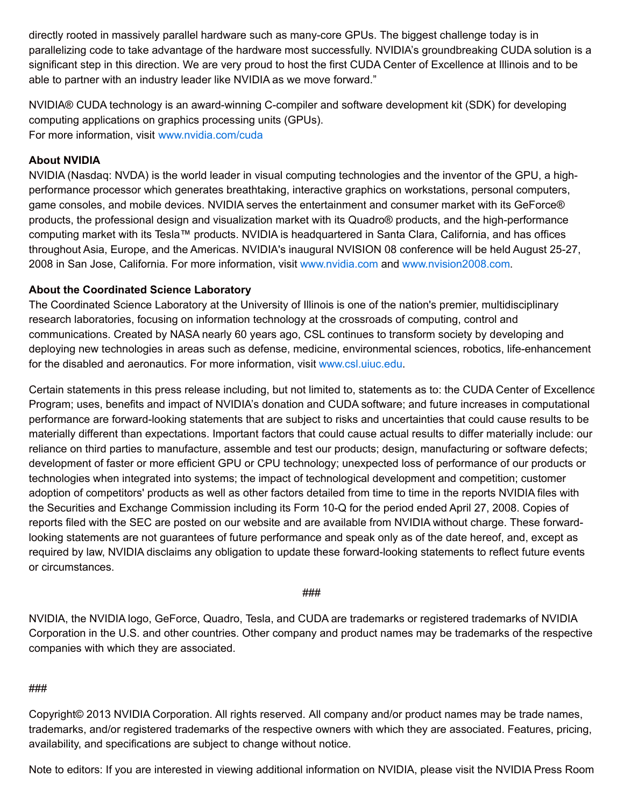directly rooted in massively parallel hardware such as many-core GPUs. The biggest challenge today is in parallelizing code to take advantage of the hardware most successfully. NVIDIA's groundbreaking CUDA solution is a significant step in this direction. We are very proud to host the first CUDA Center of Excellence at Illinois and to be able to partner with an industry leader like NVIDIA as we move forward."

NVIDIA® CUDA technology is an award-winning C-compiler and software development kit (SDK) for developing computing applications on graphics processing units (GPUs). For more information, visit [www.nvidia.com/cuda](http://www.nvidia.com/cuda)

## **About NVIDIA**

NVIDIA (Nasdaq: NVDA) is the world leader in visual computing technologies and the inventor of the GPU, a highperformance processor which generates breathtaking, interactive graphics on workstations, personal computers, game consoles, and mobile devices. NVIDIA serves the entertainment and consumer market with its GeForce® products, the professional design and visualization market with its Quadro® products, and the high-performance computing market with its Tesla™ products. NVIDIA is headquartered in Santa Clara, California, and has offices throughout Asia, Europe, and the Americas. NVIDIA's inaugural NVISION 08 conference will be held August 25-27, 2008 in San Jose, California. For more information, visit [www.nvidia.com](http://www.nvidia.com/) and [www.nvision2008.com](http://www.nvision2008.com/).

## **About the Coordinated Science Laboratory**

The Coordinated Science Laboratory at the University of Illinois is one of the nation's premier, multidisciplinary research laboratories, focusing on information technology at the crossroads of computing, control and communications. Created by NASA nearly 60 years ago, CSL continues to transform society by developing and deploying new technologies in areas such as defense, medicine, environmental sciences, robotics, life-enhancement for the disabled and aeronautics. For more information, visit [www.csl.uiuc.edu](http://www.csl.uiuc.edu/).

Certain statements in this press release including, but not limited to, statements as to: the CUDA Center of Excellence Program; uses, benefits and impact of NVIDIA's donation and CUDA software; and future increases in computational performance are forward-looking statements that are subject to risks and uncertainties that could cause results to be materially different than expectations. Important factors that could cause actual results to differ materially include: our reliance on third parties to manufacture, assemble and test our products; design, manufacturing or software defects; development of faster or more efficient GPU or CPU technology; unexpected loss of performance of our products or technologies when integrated into systems; the impact of technological development and competition; customer adoption of competitors' products as well as other factors detailed from time to time in the reports NVIDIA files with the Securities and Exchange Commission including its Form 10-Q for the period ended April 27, 2008. Copies of reports filed with the SEC are posted on our website and are available from NVIDIA without charge. These forwardlooking statements are not guarantees of future performance and speak only as of the date hereof, and, except as required by law, NVIDIA disclaims any obligation to update these forward-looking statements to reflect future events or circumstances.

## ###

NVIDIA, the NVIDIA logo, GeForce, Quadro, Tesla, and CUDA are trademarks or registered trademarks of NVIDIA Corporation in the U.S. and other countries. Other company and product names may be trademarks of the respective companies with which they are associated.

## ###

Copyright© 2013 NVIDIA Corporation. All rights reserved. All company and/or product names may be trade names, trademarks, and/or registered trademarks of the respective owners with which they are associated. Features, pricing, availability, and specifications are subject to change without notice.

Note to editors: If you are interested in viewing additional information on NVIDIA, please visit the NVIDIA Press Room